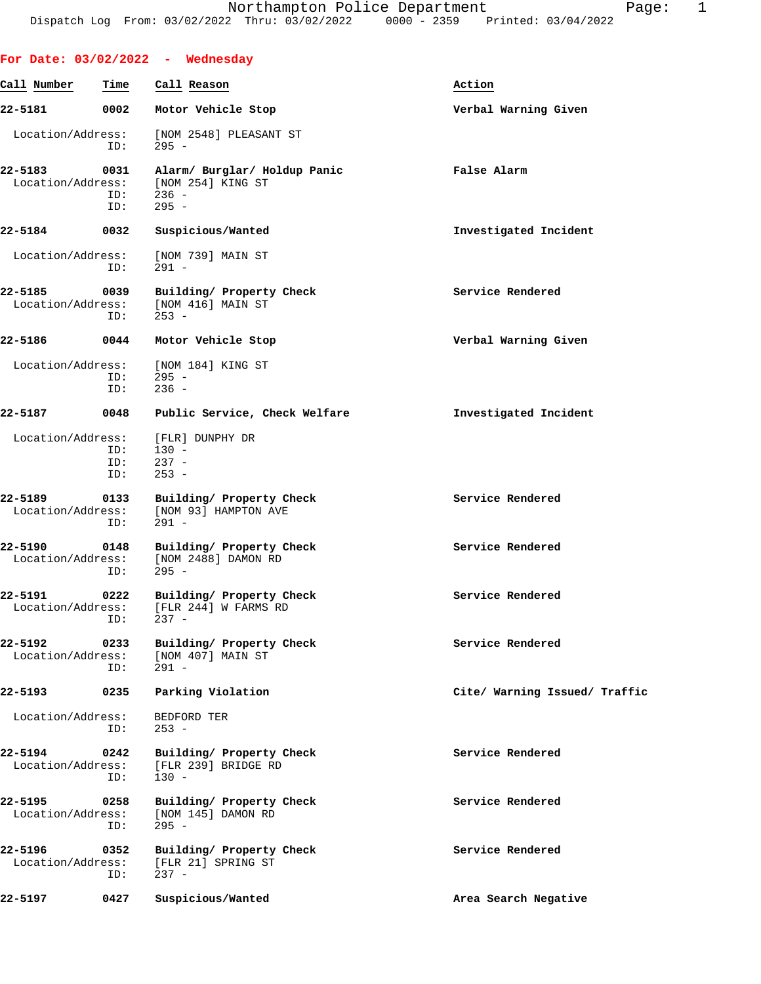|                              |                    | For Date: $03/02/2022 -$ Wednesday                                                        |                               |
|------------------------------|--------------------|-------------------------------------------------------------------------------------------|-------------------------------|
| Call Number                  | Time               | Call Reason                                                                               | Action                        |
| 22-5181                      | 0002               | Motor Vehicle Stop                                                                        | Verbal Warning Given          |
| Location/Address:            | ID:                | [NOM 2548] PLEASANT ST<br>$295 -$                                                         |                               |
| 22-5183                      | 0031<br>ID:<br>ID: | Alarm/ Burglar/ Holdup Panic<br>Location/Address: [NOM 254] KING ST<br>$236 -$<br>$295 -$ | False Alarm                   |
| 22-5184                      | 0032               | Suspicious/Wanted                                                                         | Investigated Incident         |
| Location/Address:            | ID:                | [NOM 739] MAIN ST<br>$291 -$                                                              |                               |
| 22-5185<br>Location/Address: | 0039<br>ID:        | Building/ Property Check<br>[NOM 416] MAIN ST<br>$253 -$                                  | Service Rendered              |
| 22-5186                      | 0044               | Motor Vehicle Stop                                                                        | Verbal Warning Given          |
| Location/Address:            | ID:<br>ID:         | [NOM 184] KING ST<br>$295 -$<br>$236 -$                                                   |                               |
| 22-5187                      | 0048               | Public Service, Check Welfare                                                             | Investigated Incident         |
| Location/Address:            | ID:<br>ID:<br>ID:  | [FLR] DUNPHY DR<br>$130 -$<br>$237 -$<br>$253 -$                                          |                               |
| 22-5189<br>Location/Address: | 0133<br>ID:        | Building/ Property Check<br>[NOM 93] HAMPTON AVE<br>$291 -$                               | Service Rendered              |
| 22-5190<br>Location/Address: | 0148<br>ID:        | Building/ Property Check<br>[NOM 2488] DAMON RD<br>$295 -$                                | Service Rendered              |
| 22-5191<br>Location/Address: | 0222<br>ID:        | Building/ Property Check<br>[FLR 244] W FARMS RD<br>$237 -$                               | Service Rendered              |
| 22-5192<br>Location/Address: | 0233<br>ID:        | Building/ Property Check<br>[NOM 407] MAIN ST<br>$291 -$                                  | Service Rendered              |
| 22-5193                      | 0235               | Parking Violation                                                                         | Cite/ Warning Issued/ Traffic |
| Location/Address:            | ID:                | BEDFORD TER<br>$253 -$                                                                    |                               |
| 22-5194<br>Location/Address: | 0242<br>ID:        | Building/ Property Check<br>[FLR 239] BRIDGE RD<br>$130 -$                                | Service Rendered              |
| 22-5195<br>Location/Address: | 0258<br>ID:        | Building/ Property Check<br>[NOM 145] DAMON RD<br>$295 -$                                 | Service Rendered              |
| 22-5196<br>Location/Address: | 0352<br>ID:        | Building/ Property Check<br>[FLR 21] SPRING ST<br>$237 -$                                 | Service Rendered              |
| 22-5197                      | 0427               | Suspicious/Wanted                                                                         | Area Search Negative          |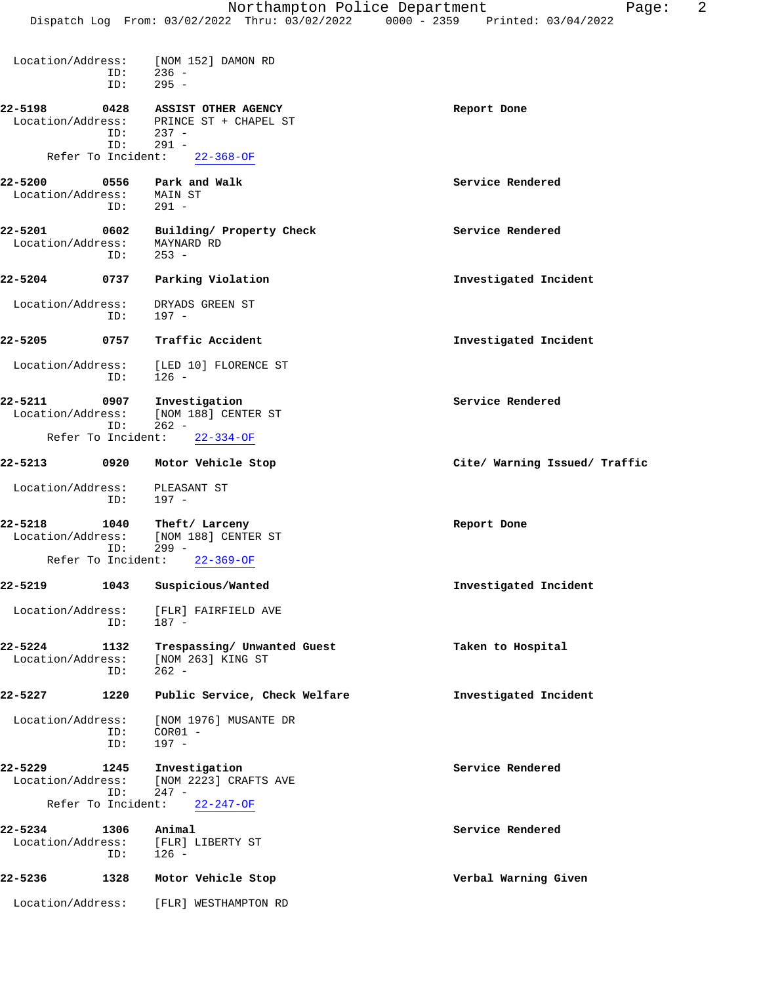| Location/Address:               | ID:                       | [NOM 152] DAMON RD<br>$236 -$                                      |                               |
|---------------------------------|---------------------------|--------------------------------------------------------------------|-------------------------------|
|                                 | ID:                       | $295 -$                                                            |                               |
| 22-5198<br>Location/Address:    | 0428<br>ID:<br>ID:        | ASSIST OTHER AGENCY<br>PRINCE ST + CHAPEL ST<br>$237 -$<br>$291 -$ | Report Done                   |
|                                 | Refer To Incident:        | $22 - 368 - OF$                                                    |                               |
| 22-5200<br>Location/Address:    | 0556<br>ID:               | Park and Walk<br>MAIN ST<br>$291 -$                                | Service Rendered              |
| 22-5201<br>Location/Address:    | 0602<br>ID:               | Building/ Property Check<br>MAYNARD RD<br>$253 -$                  | Service Rendered              |
| 22-5204                         | 0737                      | Parking Violation                                                  | Investigated Incident         |
| Location/Address:               | ID:                       | DRYADS GREEN ST<br>197 -                                           |                               |
| 22-5205                         | 0757                      | Traffic Accident                                                   | Investigated Incident         |
| Location/Address:<br>ID:        |                           | [LED 10] FLORENCE ST<br>$126 -$                                    |                               |
| 22-5211<br>Location/Address:    | 0907<br>ID:               | Investigation<br>[NOM 188] CENTER ST<br>$262 -$                    | Service Rendered              |
|                                 | Refer To Incident:        | $22 - 334 - OF$                                                    |                               |
| 22-5213                         | 0920                      | Motor Vehicle Stop                                                 | Cite/ Warning Issued/ Traffic |
| Location/Address:<br>ID:        |                           | PLEASANT ST<br>197 -                                               |                               |
| 22-5218<br>Location/Address:    | 1040                      | Theft/ Larceny<br>[NOM 188] CENTER ST                              | Report Done                   |
|                                 | ID:<br>Refer To Incident: | $299 -$<br>$22 - 369 - OF$                                         |                               |
| 22-5219                         | 1043                      | Suspicious/Wanted                                                  | Investigated Incident         |
| Location/Address:<br>ID:        |                           | [FLR] FAIRFIELD AVE<br>$187 -$                                     |                               |
| 22-5224<br>Location/Address:    | 1132<br>ID:               | Trespassing/ Unwanted Guest<br>[NOM 263] KING ST<br>$262 -$        | Taken to Hospital             |
| 22-5227                         | 1220                      | Public Service, Check Welfare                                      | Investigated Incident         |
| Location/Address:<br>ID:<br>ID: |                           | [NOM 1976] MUSANTE DR<br>$COR01 -$<br>$197 -$                      |                               |
| 22-5229                         | 1245                      | Investigation                                                      | Service Rendered              |

- Location/Address: [NOM 2223] CRAFTS AVE ID: 247 - Refer To Incident: 22-247-OF
- **22-5234 1306 Animal Service Rendered** Location/Address: [FLR] LIBERTY ST ID: 126 - **22-5236 1328 Motor Vehicle Stop Verbal Warning Given**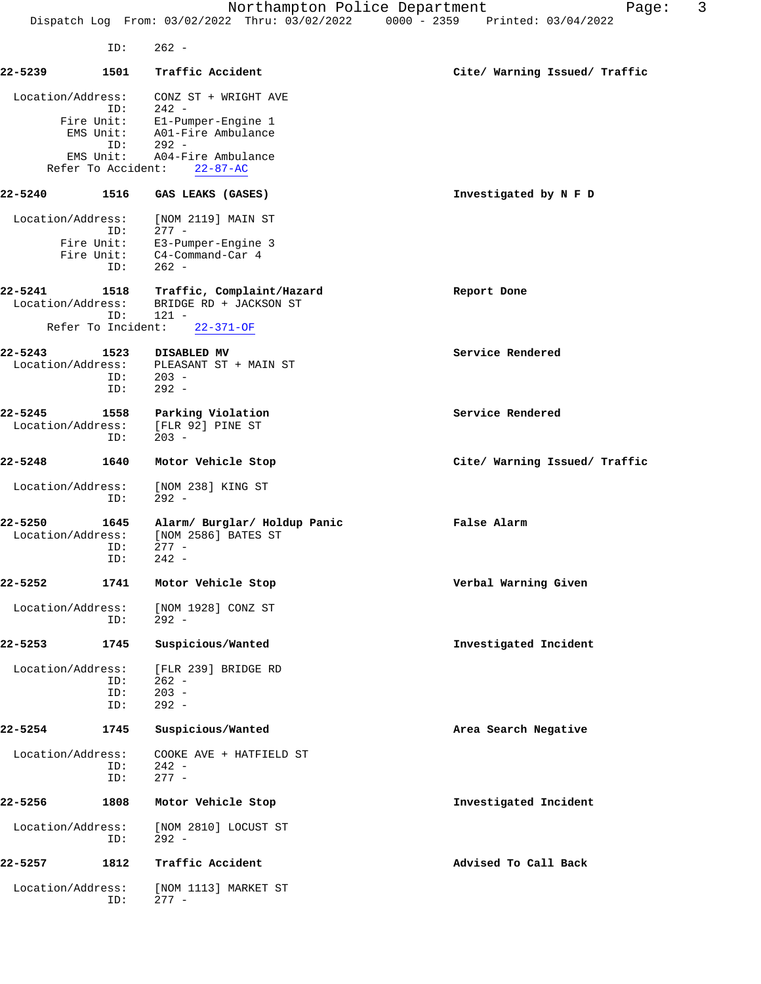Northampton Police Department Fage: 3 Dispatch Log From: 03/02/2022 Thru: 03/02/2022 0000 - 2359 Printed: 03/04/2022 ID: 262 - **22-5239 1501 Traffic Accident Cite/ Warning Issued/ Traffic** Location/Address: CONZ ST + WRIGHT AVE  $242 -$  Fire Unit: E1-Pumper-Engine 1 EMS Unit: A01-Fire Ambulance<br>ID: 292 -ID: 101-F<br>- 292 -ID: 292<br>EMS Unit: A04-F A04-Fire Ambulance Refer To Accident: 22-87-AC **22-5240 1516 GAS LEAKS (GASES) Investigated by N F D** Location/Address: [NOM 2119] MAIN ST ID: 277 -<br>Fire Unit: E3-Pum E3-Pumper-Engine 3 Fire Unit: C4-Command-Car 4 ID: 262 - **22-5241 1518 Traffic, Complaint/Hazard Report Done** Location/Address: BRIDGE RD + JACKSON ST<br>ID: 121 -121 -<br>nt: 22-371-OF Refer To Incident: **22-5243** 1523 DISABLED MV Service Rendered Location/Address: PLEASANT ST + MAIN ST PLEASANT ST + MAIN ST<br>203 -ID: ID: 292 - **22-5245** 1558 Parking Violation **1558 Parking Violation** Service Rendered Location/Address:<br>ID:  $\frac{1 \text{F}}{203}$  -**22-5248 1640 Motor Vehicle Stop Cite/ Warning Issued/ Traffic** Location/Address: [NOM 238] KING ST ID: 292 - **22-5250 1645 Alarm/ Burglar/ Holdup Panic False Alarm** Location/Address: [NOM 2586] BATES ST ID: 277 -<br>ID: 242 - $242 -$ **22-5252 1741 Motor Vehicle Stop Verbal Warning Given** Location/Address: [NOM 1928] CONZ ST<br>ID: 292 - $292 -$ **22-5253 1745 Suspicious/Wanted Investigated Incident** Location/Address: [FLR 239] BRIDGE RD ID: 262 - ID: 203 - ID: 292 - **22-5254 1745 Suspicious/Wanted Area Search Negative** Location/Address: COOKE AVE + HATFIELD ST ID: 242 - ID: 277 - **22-5256 1808 Motor Vehicle Stop Investigated Incident** Location/Address: [NOM 2810] LOCUST ST<br>ID: 292 - $292 -$ **22-5257 1812 Traffic Accident Advised To Call Back** Location/Address: [NOM 1113] MARKET ST ID: 277 -